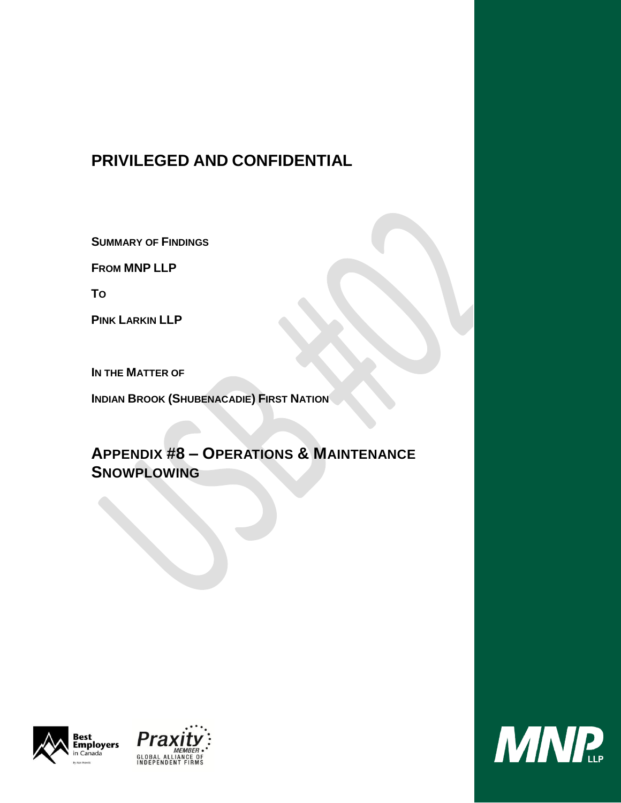# **PRIVILEGED AND CONFIDENTIAL**

**SUMMARY OF FINDINGS**

**FROM MNP LLP**

**TO**

**PINK LARKIN LLP**

**IN THE MATTER OF**

**INDIAN BROOK (SHUBENACADIE) FIRST NATION**

# **APPENDIX #8 – OPERATIONS & MAINTENANCE SNOWPLOWING**





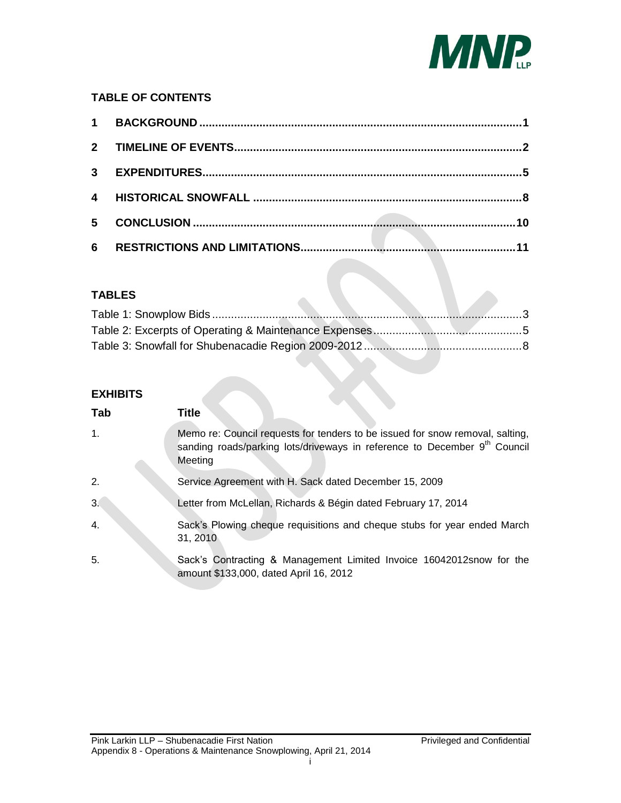

## **TABLE OF CONTENTS**

| 4 |  |     |
|---|--|-----|
| 5 |  | .10 |
| 6 |  |     |

## **TABLES**

 $\overline{\phantom{a}}$ 

## **EXHIBITS**

<span id="page-1-4"></span><span id="page-1-3"></span><span id="page-1-2"></span><span id="page-1-1"></span><span id="page-1-0"></span>

| Tab            | Title                                                                                                                                                                             |
|----------------|-----------------------------------------------------------------------------------------------------------------------------------------------------------------------------------|
| $\mathbf{1}$ . | Memo re: Council requests for tenders to be issued for snow removal, salting,<br>sanding roads/parking lots/driveways in reference to December 9 <sup>th</sup> Council<br>Meeting |
| 2.             | Service Agreement with H. Sack dated December 15, 2009                                                                                                                            |
| 3.             | Letter from McLellan, Richards & Bégin dated February 17, 2014                                                                                                                    |
| 4.             | Sack's Plowing cheque requisitions and cheque stubs for year ended March<br>31, 2010                                                                                              |
| 5.             | Sack's Contracting & Management Limited Invoice 16042012 snow for the<br>amount \$133,000, dated April 16, 2012                                                                   |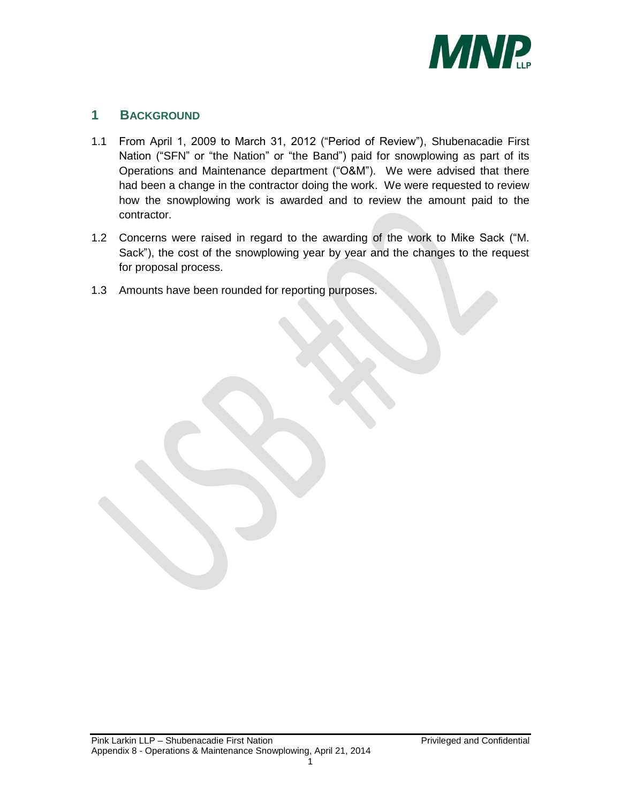

## <span id="page-2-0"></span>**1 BACKGROUND**

- 1.1 From April 1, 2009 to March 31, 2012 ("Period of Review"), Shubenacadie First Nation ("SFN" or "the Nation" or "the Band") paid for snowplowing as part of its Operations and Maintenance department ("O&M"). We were advised that there had been a change in the contractor doing the work. We were requested to review how the snowplowing work is awarded and to review the amount paid to the contractor.
- 1.2 Concerns were raised in regard to the awarding of the work to Mike Sack ("M. Sack"), the cost of the snowplowing year by year and the changes to the request for proposal process.
- 1.3 Amounts have been rounded for reporting purposes.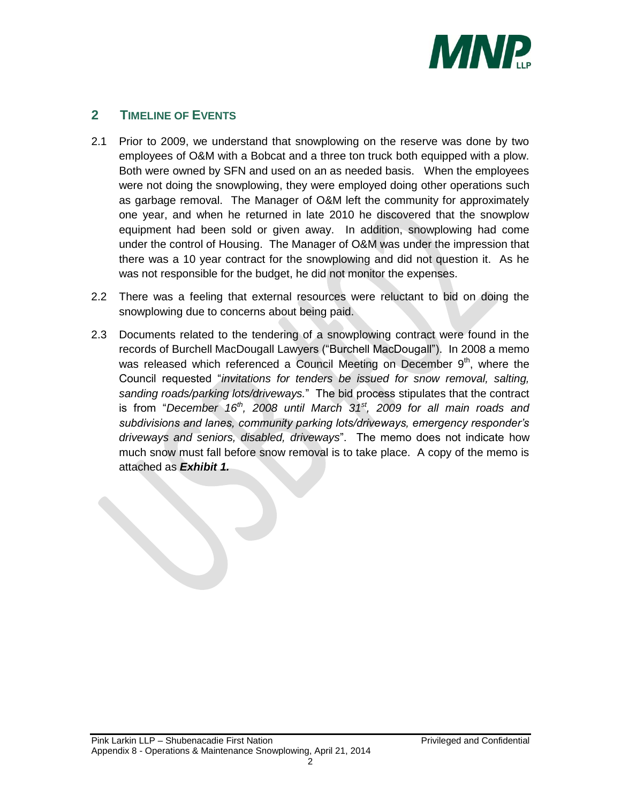

# <span id="page-3-0"></span>**2 TIMELINE OF EVENTS**

- 2.1 Prior to 2009, we understand that snowplowing on the reserve was done by two employees of O&M with a Bobcat and a three ton truck both equipped with a plow. Both were owned by SFN and used on an as needed basis. When the employees were not doing the snowplowing, they were employed doing other operations such as garbage removal. The Manager of O&M left the community for approximately one year, and when he returned in late 2010 he discovered that the snowplow equipment had been sold or given away. In addition, snowplowing had come under the control of Housing. The Manager of O&M was under the impression that there was a 10 year contract for the snowplowing and did not question it. As he was not responsible for the budget, he did not monitor the expenses.
- 2.2 There was a feeling that external resources were reluctant to bid on doing the snowplowing due to concerns about being paid.
- 2.3 Documents related to the tendering of a snowplowing contract were found in the records of Burchell MacDougall Lawyers ("Burchell MacDougall"). In 2008 a memo was released which referenced a Council Meeting on December  $9<sup>th</sup>$ , where the Council requested "*invitations for tenders be issued for snow removal, salting, sanding roads/parking lots/driveways.*" The bid process stipulates that the contract is from "*December 16th, 2008 until March 31st, 2009 for all main roads and subdivisions and lanes, community parking lots/driveways, emergency responder's driveways and seniors, disabled, driveways*". The memo does not indicate how much snow must fall before snow removal is to take place. A copy of the memo is attached as *Exhibit [1.](#page-1-0)*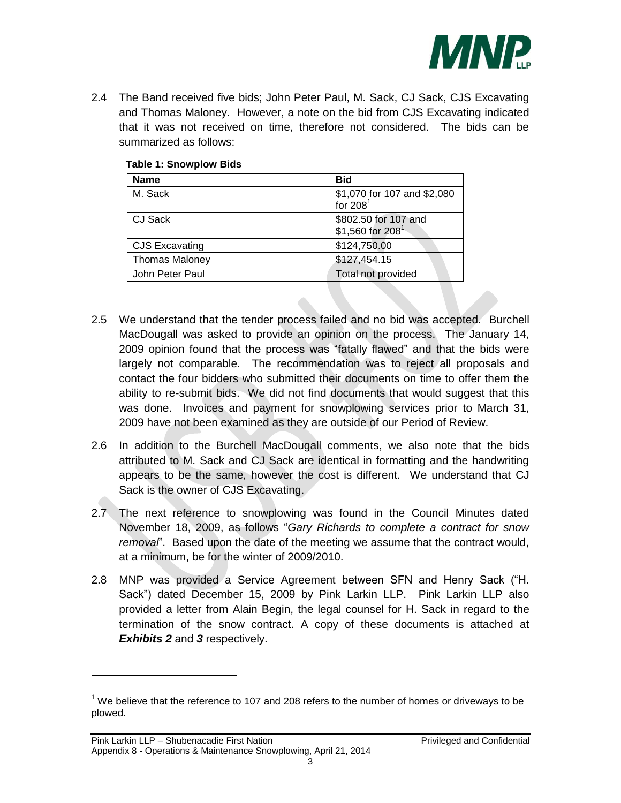

2.4 The Band received five bids; John Peter Paul, M. Sack, CJ Sack, CJS Excavating and Thomas Maloney. However, a note on the bid from CJS Excavating indicated that it was not received on time, therefore not considered. The bids can be summarized as follows:

| <b>Name</b>           | <b>Bid</b>                                           |
|-----------------------|------------------------------------------------------|
| M. Sack               | \$1,070 for 107 and \$2,080<br>for $2081$            |
| CJ Sack               | \$802.50 for 107 and<br>\$1,560 for 208 <sup>1</sup> |
| <b>CJS Excavating</b> | \$124,750.00                                         |
| <b>Thomas Maloney</b> | \$127,454.15                                         |
| John Peter Paul       | Total not provided                                   |

### <span id="page-4-0"></span>**Table 1: Snowplow Bids**

- 2.5 We understand that the tender process failed and no bid was accepted. Burchell MacDougall was asked to provide an opinion on the process. The January 14, 2009 opinion found that the process was "fatally flawed" and that the bids were largely not comparable. The recommendation was to reject all proposals and contact the four bidders who submitted their documents on time to offer them the ability to re-submit bids. We did not find documents that would suggest that this was done. Invoices and payment for snowplowing services prior to March 31, 2009 have not been examined as they are outside of our Period of Review.
- 2.6 In addition to the Burchell MacDougall comments, we also note that the bids attributed to M. Sack and CJ Sack are identical in formatting and the handwriting appears to be the same, however the cost is different. We understand that CJ Sack is the owner of CJS Excavating.
- 2.7 The next reference to snowplowing was found in the Council Minutes dated November 18, 2009, as follows "*Gary Richards to complete a contract for snow removal*". Based upon the date of the meeting we assume that the contract would, at a minimum, be for the winter of 2009/2010.
- 2.8 MNP was provided a Service Agreement between SFN and Henry Sack ("H. Sack") dated December 15, 2009 by Pink Larkin LLP. Pink Larkin LLP also provided a letter from Alain Begin, the legal counsel for H. Sack in regard to the termination of the snow contract. A copy of these documents is attached at *Exhibits [2](#page-1-1)* and *[3](#page-1-2)* respectively.

 $\overline{a}$ 

 $1$  We believe that the reference to 107 and 208 refers to the number of homes or driveways to be plowed.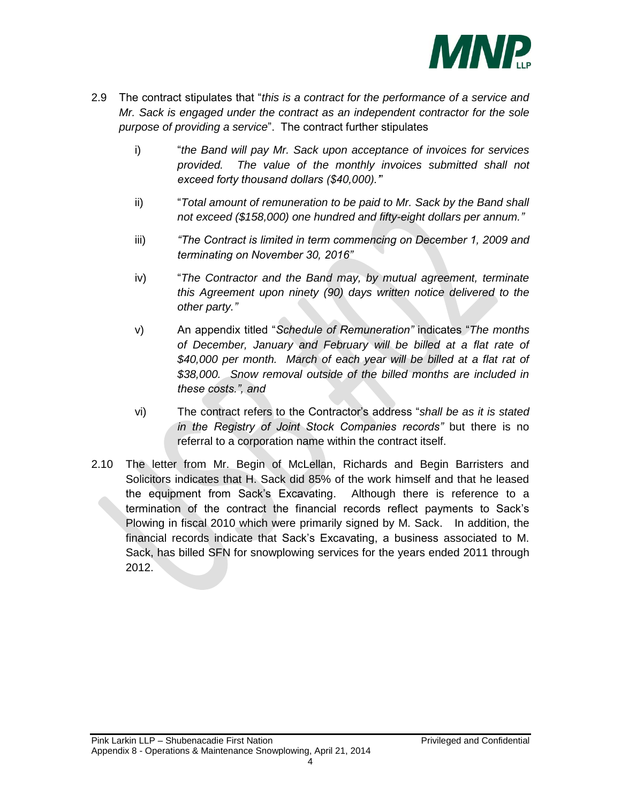

- 2.9 The contract stipulates that "*this is a contract for the performance of a service and Mr. Sack is engaged under the contract as an independent contractor for the sole purpose of providing a service*". The contract further stipulates
	- i) "*the Band will pay Mr. Sack upon acceptance of invoices for services provided. The value of the monthly invoices submitted shall not exceed forty thousand dollars (\$40,000).'*"
	- ii) "*Total amount of remuneration to be paid to Mr. Sack by the Band shall not exceed (\$158,000) one hundred and fifty-eight dollars per annum."*
	- iii) *"The Contract is limited in term commencing on December 1, 2009 and terminating on November 30, 2016"*
	- iv) "*The Contractor and the Band may, by mutual agreement, terminate this Agreement upon ninety (90) days written notice delivered to the other party."*
	- v) An appendix titled "*Schedule of Remuneration"* indicates "*The months of December, January and February will be billed at a flat rate of \$40,000 per month. March of each year will be billed at a flat rat of \$38,000. Snow removal outside of the billed months are included in these costs.", and*
	- vi) The contract refers to the Contractor's address "*shall be as it is stated in the Registry of Joint Stock Companies records"* but there is no referral to a corporation name within the contract itself.
- 2.10 The letter from Mr. Begin of McLellan, Richards and Begin Barristers and Solicitors indicates that H. Sack did 85% of the work himself and that he leased the equipment from Sack's Excavating. Although there is reference to a termination of the contract the financial records reflect payments to Sack's Plowing in fiscal 2010 which were primarily signed by M. Sack. In addition, the financial records indicate that Sack's Excavating, a business associated to M. Sack, has billed SFN for snowplowing services for the years ended 2011 through 2012.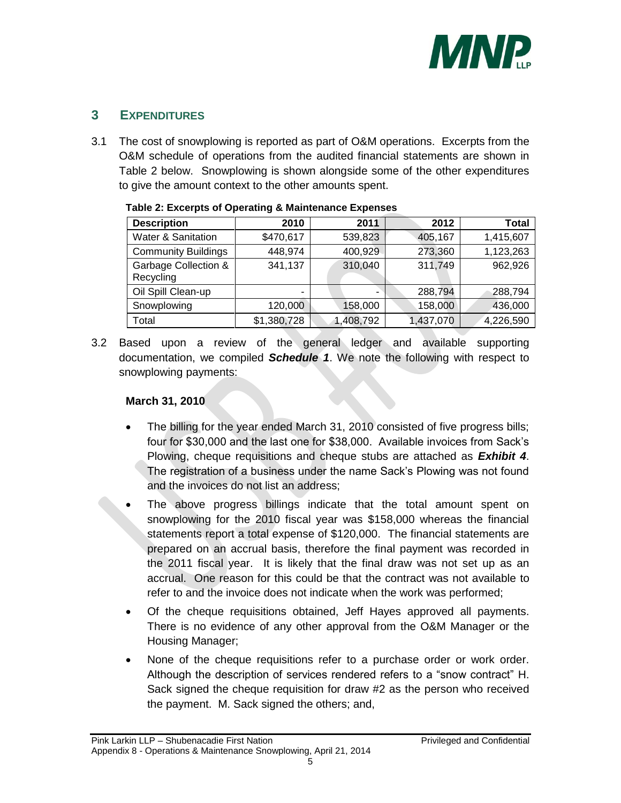

# <span id="page-6-0"></span>**3 EXPENDITURES**

3.1 The cost of snowplowing is reported as part of O&M operations. Excerpts from the O&M schedule of operations from the audited financial statements are shown in [Table 2](#page-6-1) below. Snowplowing is shown alongside some of the other expenditures to give the amount context to the other amounts spent.

| <b>Description</b>                           | 2010        | 2011      | 2012      | <b>Total</b> |
|----------------------------------------------|-------------|-----------|-----------|--------------|
| <b>Water &amp; Sanitation</b>                | \$470,617   | 539,823   | 405,167   | 1,415,607    |
| <b>Community Buildings</b>                   | 448,974     | 400,929   | 273,360   | 1,123,263    |
| <b>Garbage Collection &amp;</b><br>Recycling | 341,137     | 310,040   | 311,749   | 962,926      |
| Oil Spill Clean-up                           | -           |           | 288,794   | 288,794      |
| Snowplowing                                  | 120,000     | 158,000   | 158,000   | 436,000      |
| Total                                        | \$1,380,728 | 1,408,792 | 1,437,070 | 4,226,590    |

#### <span id="page-6-1"></span>**Table 2: Excerpts of Operating & Maintenance Expenses**

3.2 Based upon a review of the general ledger and available supporting documentation, we compiled *Schedule 1*. We note the following with respect to snowplowing payments:

## **March 31, 2010**

- The billing for the year ended March 31, 2010 consisted of five progress bills; four for \$30,000 and the last one for \$38,000. Available invoices from Sack's Plowing, cheque requisitions and cheque stubs are attached as *Exhibit [4](#page-1-3)*. The registration of a business under the name Sack's Plowing was not found and the invoices do not list an address;
- The above progress billings indicate that the total amount spent on snowplowing for the 2010 fiscal year was \$158,000 whereas the financial statements report a total expense of \$120,000. The financial statements are prepared on an accrual basis, therefore the final payment was recorded in the 2011 fiscal year. It is likely that the final draw was not set up as an accrual. One reason for this could be that the contract was not available to refer to and the invoice does not indicate when the work was performed;
- Of the cheque requisitions obtained, Jeff Hayes approved all payments. There is no evidence of any other approval from the O&M Manager or the Housing Manager;
- None of the cheque requisitions refer to a purchase order or work order. Although the description of services rendered refers to a "snow contract" H. Sack signed the cheque requisition for draw #2 as the person who received the payment. M. Sack signed the others; and,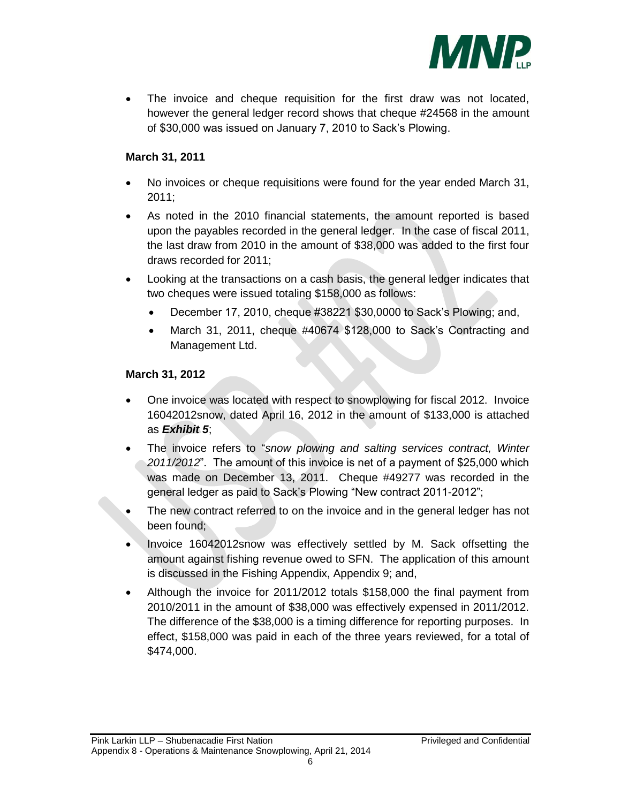

 The invoice and cheque requisition for the first draw was not located, however the general ledger record shows that cheque #24568 in the amount of \$30,000 was issued on January 7, 2010 to Sack's Plowing.

## **March 31, 2011**

- No invoices or cheque requisitions were found for the year ended March 31, 2011;
- As noted in the 2010 financial statements, the amount reported is based upon the payables recorded in the general ledger. In the case of fiscal 2011, the last draw from 2010 in the amount of \$38,000 was added to the first four draws recorded for 2011;
- Looking at the transactions on a cash basis, the general ledger indicates that two cheques were issued totaling \$158,000 as follows:
	- December 17, 2010, cheque #38221 \$30,0000 to Sack's Plowing; and,
	- March 31, 2011, cheque #40674 \$128,000 to Sack's Contracting and Management Ltd.

## **March 31, 2012**

- One invoice was located with respect to snowplowing for fiscal 2012. Invoice 16042012snow, dated April 16, 2012 in the amount of \$133,000 is attached as *Exhibit [5](#page-1-4)*;
- The invoice refers to "*snow plowing and salting services contract, Winter 2011/2012*". The amount of this invoice is net of a payment of \$25,000 which was made on December 13, 2011. Cheque #49277 was recorded in the general ledger as paid to Sack's Plowing "New contract 2011-2012";
- The new contract referred to on the invoice and in the general ledger has not been found;
- Invoice 16042012snow was effectively settled by M. Sack offsetting the amount against fishing revenue owed to SFN. The application of this amount is discussed in the Fishing Appendix, Appendix 9; and,
- Although the invoice for 2011/2012 totals \$158,000 the final payment from 2010/2011 in the amount of \$38,000 was effectively expensed in 2011/2012. The difference of the \$38,000 is a timing difference for reporting purposes. In effect, \$158,000 was paid in each of the three years reviewed, for a total of \$474,000.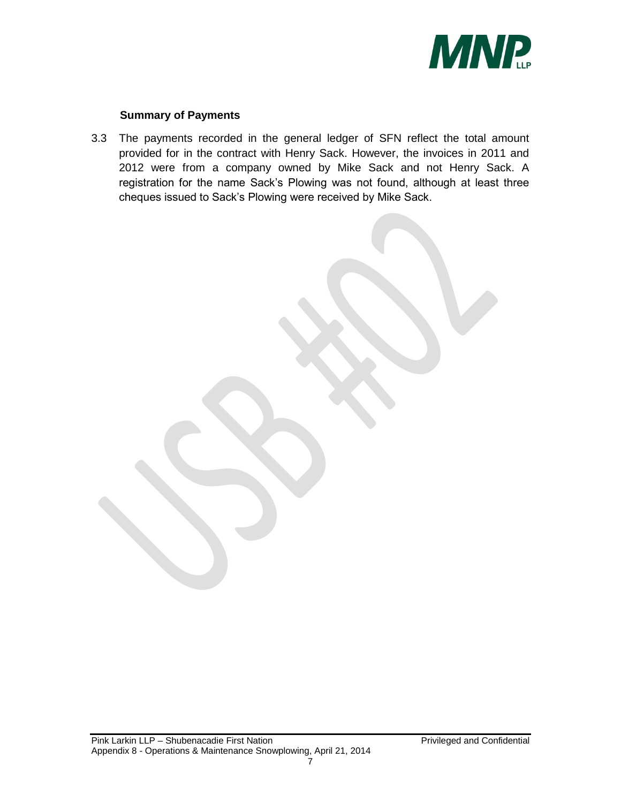

### **Summary of Payments**

3.3 The payments recorded in the general ledger of SFN reflect the total amount provided for in the contract with Henry Sack. However, the invoices in 2011 and 2012 were from a company owned by Mike Sack and not Henry Sack. A registration for the name Sack's Plowing was not found, although at least three cheques issued to Sack's Plowing were received by Mike Sack.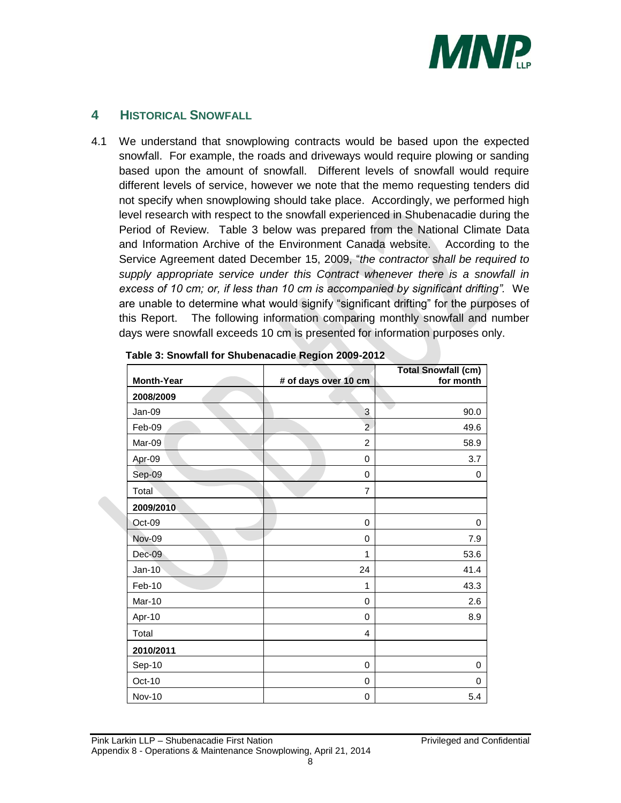

## <span id="page-9-0"></span>**4 HISTORICAL SNOWFALL**

4.1 We understand that snowplowing contracts would be based upon the expected snowfall. For example, the roads and driveways would require plowing or sanding based upon the amount of snowfall. Different levels of snowfall would require different levels of service, however we note that the memo requesting tenders did not specify when snowplowing should take place. Accordingly, we performed high level research with respect to the snowfall experienced in Shubenacadie during the Period of Review. [Table 3](#page-9-1) below was prepared from the National Climate Data and Information Archive of the Environment Canada website. According to the Service Agreement dated December 15, 2009, "*the contractor shall be required to supply appropriate service under this Contract whenever there is a snowfall in excess of 10 cm; or, if less than 10 cm is accompanied by significant drifting".* We are unable to determine what would signify "significant drifting" for the purposes of this Report. The following information comparing monthly snowfall and number days were snowfall exceeds 10 cm is presented for information purposes only.

| <b>Month-Year</b> | # of days over 10 cm | <b>Total Snowfall (cm)</b><br>for month |  |
|-------------------|----------------------|-----------------------------------------|--|
| 2008/2009         |                      |                                         |  |
| Jan-09            | 3                    | 90.0                                    |  |
| Feb-09            | $\overline{a}$       | 49.6                                    |  |
| Mar-09            | $\overline{2}$       | 58.9                                    |  |
| Apr-09            | 0                    | 3.7                                     |  |
| Sep-09            | $\mathbf 0$          | 0                                       |  |
| Total             | $\overline{7}$       |                                         |  |
| 2009/2010         |                      |                                         |  |
| Oct-09            | 0                    | 0                                       |  |
| <b>Nov-09</b>     | $\mathbf 0$          | 7.9                                     |  |
| $Dec-09$          | 1                    | 53.6                                    |  |
| $Jan-10$          | 24                   | 41.4                                    |  |
| Feb-10            | 1                    | 43.3                                    |  |
| Mar-10            | $\mathbf 0$          | 2.6                                     |  |
| Apr-10            | 0                    | 8.9                                     |  |
| Total             | 4                    |                                         |  |
| 2010/2011         |                      |                                         |  |
| Sep-10            | 0                    | 0                                       |  |
| Oct-10            | 0                    | 0                                       |  |
| Nov-10            | $\mathbf 0$          | 5.4                                     |  |

<span id="page-9-1"></span>**Table 3: Snowfall for Shubenacadie Region 2009-2012**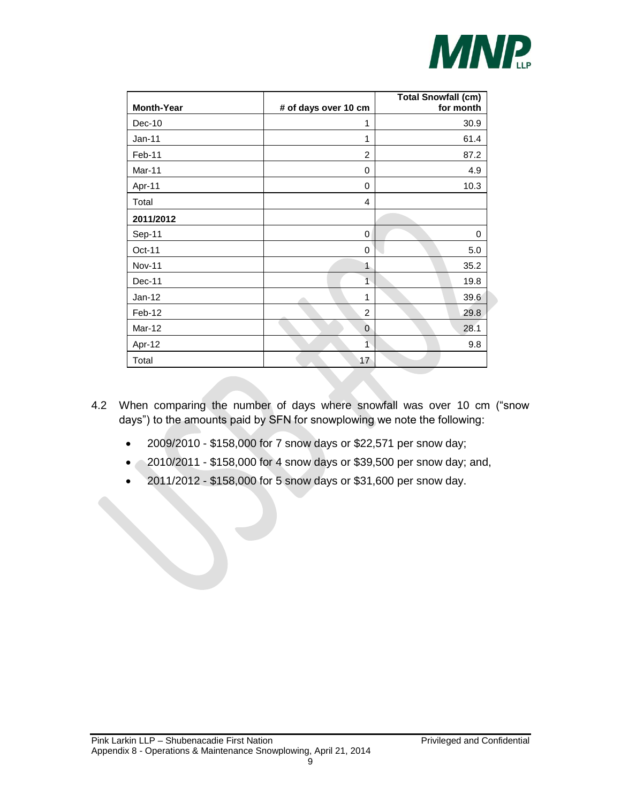

| <b>Month-Year</b> | # of days over 10 cm | <b>Total Snowfall (cm)</b><br>for month |
|-------------------|----------------------|-----------------------------------------|
| Dec-10            | 1                    | 30.9                                    |
| Jan-11            | 1                    | 61.4                                    |
| Feb-11            | $\overline{2}$       | 87.2                                    |
| Mar-11            | 0                    | 4.9                                     |
| Apr-11            | 0                    | 10.3                                    |
| Total             | 4                    |                                         |
| 2011/2012         |                      |                                         |
| Sep-11            | 0                    | $\mathbf 0$                             |
| Oct-11            | 0                    | 5.0                                     |
| <b>Nov-11</b>     | 1                    | 35.2                                    |
| Dec-11            | $\overline{1}$       | 19.8                                    |
| $Jan-12$          | 1                    | 39.6                                    |
| Feb-12            | $\overline{2}$       | 29.8                                    |
| Mar-12            | $\overline{0}$       | 28.1                                    |
| Apr-12            | $\overline{1}$       | 9.8                                     |
| Total             | 17                   |                                         |

- 4.2 When comparing the number of days where snowfall was over 10 cm ("snow days") to the amounts paid by SFN for snowplowing we note the following:
	- 2009/2010 \$158,000 for 7 snow days or \$22,571 per snow day;
	- 2010/2011 \$158,000 for 4 snow days or \$39,500 per snow day; and,
	- 2011/2012 \$158,000 for 5 snow days or \$31,600 per snow day.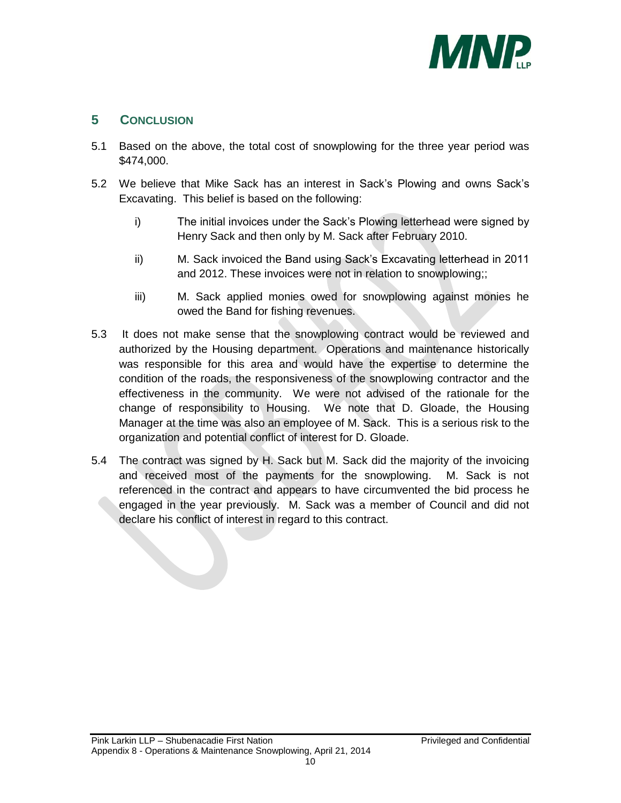

# <span id="page-11-0"></span>**5 CONCLUSION**

- 5.1 Based on the above, the total cost of snowplowing for the three year period was \$474,000.
- 5.2 We believe that Mike Sack has an interest in Sack's Plowing and owns Sack's Excavating. This belief is based on the following:
	- i) The initial invoices under the Sack's Plowing letterhead were signed by Henry Sack and then only by M. Sack after February 2010.
	- ii) M. Sack invoiced the Band using Sack's Excavating letterhead in 2011 and 2012. These invoices were not in relation to snowplowing;;
	- iii) M. Sack applied monies owed for snowplowing against monies he owed the Band for fishing revenues.
- 5.3 It does not make sense that the snowplowing contract would be reviewed and authorized by the Housing department. Operations and maintenance historically was responsible for this area and would have the expertise to determine the condition of the roads, the responsiveness of the snowplowing contractor and the effectiveness in the community. We were not advised of the rationale for the change of responsibility to Housing. We note that D. Gloade, the Housing Manager at the time was also an employee of M. Sack. This is a serious risk to the organization and potential conflict of interest for D. Gloade.
- 5.4 The contract was signed by H. Sack but M. Sack did the majority of the invoicing and received most of the payments for the snowplowing. M. Sack is not referenced in the contract and appears to have circumvented the bid process he engaged in the year previously. M. Sack was a member of Council and did not declare his conflict of interest in regard to this contract.